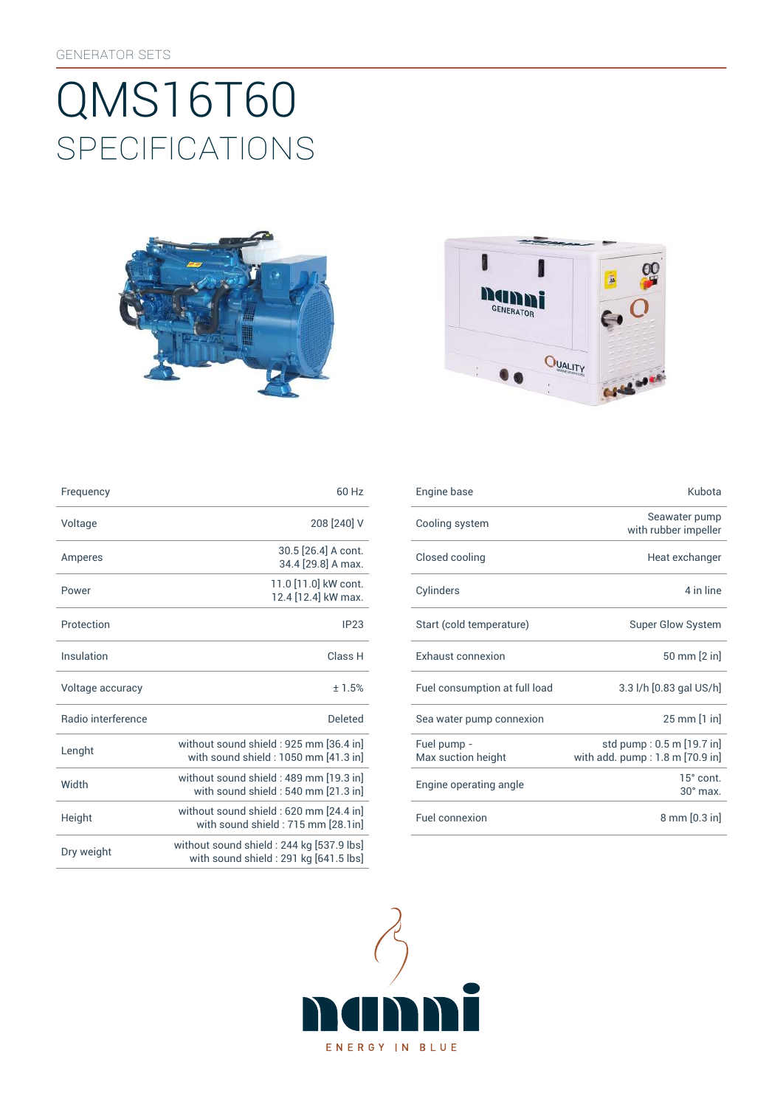# SpEcificATiONS QMS16T60





| Frequency                 | 60 Hz                                                                              |
|---------------------------|------------------------------------------------------------------------------------|
| Voltage                   | 208 [240] V                                                                        |
| Amperes                   | 30.5 [26.4] A cont.<br>34.4 [29.8] A max.                                          |
| Power                     | 11.0 [11.0] kW cont.<br>12.4 [12.4] kW max.                                        |
| Protection                | IP23                                                                               |
| Insulation                | Class <sub>H</sub>                                                                 |
| Voltage accuracy          | ± 1.5%                                                                             |
| <b>Badio</b> interference | Deleted                                                                            |
| Lenght                    | without sound shield : 925 mm [36.4 in]<br>with sound shield: 1050 mm [41.3 in]    |
| Width                     | without sound shield: 489 mm [19.3 in]<br>with sound shield: 540 mm [21.3 in]      |
| Height                    | without sound shield: 620 mm [24.4 in]<br>with sound shield: 715 mm [28.1in]       |
| Dry weight                | without sound shield : 244 kg [537.9 lbs]<br>with sound shield: 291 kg [641.5 lbs] |

| Frequency          | 60 Hz                                                                          | Engine base                       | Kubota                                                       |
|--------------------|--------------------------------------------------------------------------------|-----------------------------------|--------------------------------------------------------------|
| Voltage            | 208 [240] V                                                                    | Cooling system                    | Seawater pump<br>with rubber impeller                        |
| Amperes            | 30.5 [26.4] A cont.<br>34.4 [29.8] A max.                                      | Closed cooling                    | Heat exchanger                                               |
| Power              | 11.0 [11.0] kW cont.<br>12.4 [12.4] kW max.                                    | Cylinders                         | 4 in line                                                    |
| Protection         | IP23                                                                           | Start (cold temperature)          | <b>Super Glow System</b>                                     |
| Insulation         | Class H                                                                        | <b>Exhaust connexion</b>          | 50 mm [2 in]                                                 |
| Voltage accuracy   | ±1.5%                                                                          | Fuel consumption at full load     | 3.3 l/h [0.83 gal US/h]                                      |
| Radio interference | <b>Deleted</b>                                                                 | Sea water pump connexion          | 25 mm [1 in]                                                 |
| Lenght             | without sound shield: 925 mm [36.4 in]<br>with sound shield: 1050 mm [41.3 in] | Fuel pump -<br>Max suction height | std pump: 0.5 m [19.7 in]<br>with add. pump: 1.8 m [70.9 in] |
| Width              | without sound shield: 489 mm [19.3 in]<br>with sound shield: 540 mm [21.3 in]  | Engine operating angle            | 15° cont.<br>$30^\circ$ max.                                 |
| Height             | without sound shield: 620 mm [24.4 in]<br>with sound shield: 715 mm [28.1in]   | Fuel connexion                    | 8 mm [0.3 in]                                                |